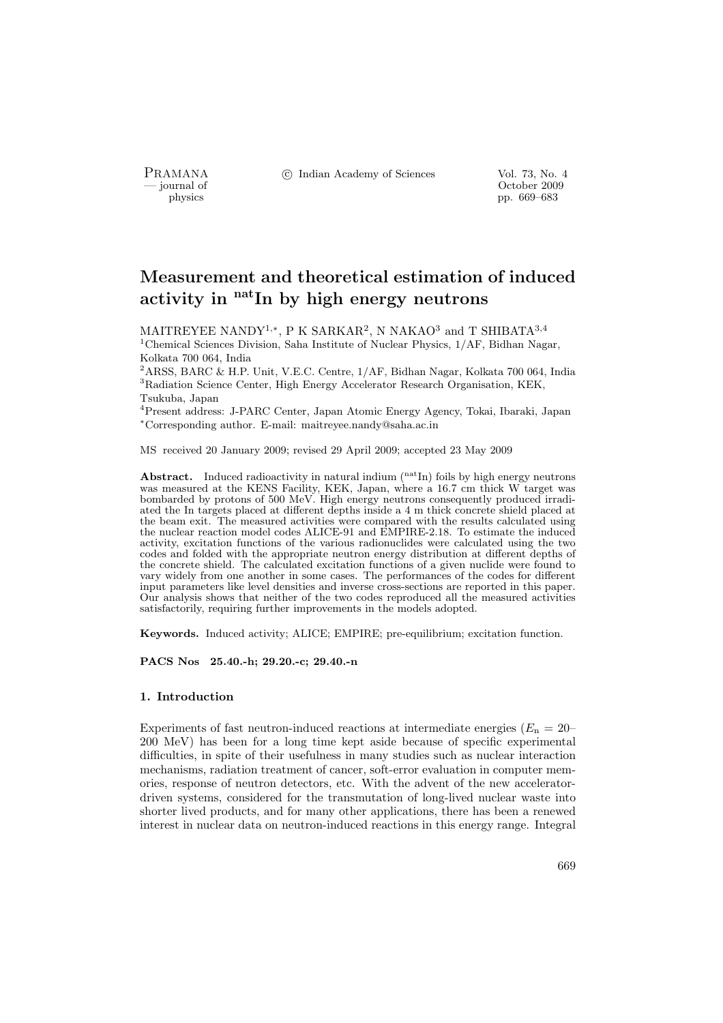PRAMANA <sup>©</sup>© Indian Academy of Sciences Vol. 73, No. 4<br>
— journal of Corober 2009

position of the contract of the contract of the contract of the contract of the contract of the contract of the contract of the contract of the contract of the contract of the contract of the contract of the contract of th pp. 669–683

# Measurement and theoretical estimation of induced activity in  $<sup>nat</sup>$ In by high energy neutrons</sup>

MAITREYEE NANDY<sup>1,\*</sup>, P K SARKAR<sup>2</sup>, N NAKAO<sup>3</sup> and T SHIBATA<sup>3,4</sup> <sup>1</sup>Chemical Sciences Division, Saha Institute of Nuclear Physics, 1/AF, Bidhan Nagar, Kolkata 700 064, India

<sup>2</sup>ARSS, BARC & H.P. Unit, V.E.C. Centre, 1/AF, Bidhan Nagar, Kolkata 700 064, India <sup>3</sup>Radiation Science Center, High Energy Accelerator Research Organisation, KEK, Tsukuba, Japan

<sup>4</sup>Present address: J-PARC Center, Japan Atomic Energy Agency, Tokai, Ibaraki, Japan <sup>∗</sup>Corresponding author. E-mail: maitreyee.nandy@saha.ac.in

MS received 20 January 2009; revised 29 April 2009; accepted 23 May 2009

**Abstract.** Induced radioactivity in natural indium  $\binom{\text{nat}}{\text{In}}$  foils by high energy neutrons was measured at the KENS Facility, KEK, Japan, where a 16.7 cm thick W target was bombarded by protons of 500 MeV. High energy neutrons consequently produced irradiated the In targets placed at different depths inside a 4 m thick concrete shield placed at the beam exit. The measured activities were compared with the results calculated using the nuclear reaction model codes ALICE-91 and EMPIRE-2.18. To estimate the induced activity, excitation functions of the various radionuclides were calculated using the two codes and folded with the appropriate neutron energy distribution at different depths of the concrete shield. The calculated excitation functions of a given nuclide were found to vary widely from one another in some cases. The performances of the codes for different input parameters like level densities and inverse cross-sections are reported in this paper. Our analysis shows that neither of the two codes reproduced all the measured activities satisfactorily, requiring further improvements in the models adopted.

Keywords. Induced activity; ALICE; EMPIRE; pre-equilibrium; excitation function.

PACS Nos 25.40.-h; 29.20.-c; 29.40.-n

# 1. Introduction

Experiments of fast neutron-induced reactions at intermediate energies ( $E_n = 20$ – 200 MeV) has been for a long time kept aside because of specific experimental difficulties, in spite of their usefulness in many studies such as nuclear interaction mechanisms, radiation treatment of cancer, soft-error evaluation in computer memories, response of neutron detectors, etc. With the advent of the new acceleratordriven systems, considered for the transmutation of long-lived nuclear waste into shorter lived products, and for many other applications, there has been a renewed interest in nuclear data on neutron-induced reactions in this energy range. Integral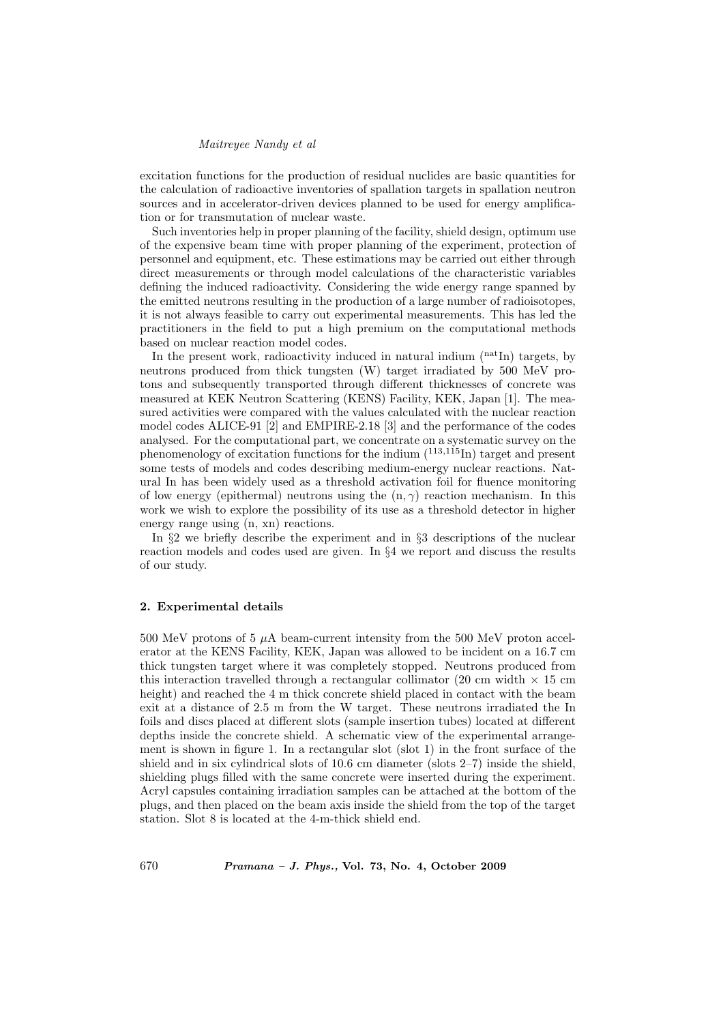excitation functions for the production of residual nuclides are basic quantities for the calculation of radioactive inventories of spallation targets in spallation neutron sources and in accelerator-driven devices planned to be used for energy amplification or for transmutation of nuclear waste.

Such inventories help in proper planning of the facility, shield design, optimum use of the expensive beam time with proper planning of the experiment, protection of personnel and equipment, etc. These estimations may be carried out either through direct measurements or through model calculations of the characteristic variables defining the induced radioactivity. Considering the wide energy range spanned by the emitted neutrons resulting in the production of a large number of radioisotopes, it is not always feasible to carry out experimental measurements. This has led the practitioners in the field to put a high premium on the computational methods based on nuclear reaction model codes.

In the present work, radioactivity induced in natural indium  $($ <sup>nat</sup>In $)$  targets, by neutrons produced from thick tungsten (W) target irradiated by 500 MeV protons and subsequently transported through different thicknesses of concrete was measured at KEK Neutron Scattering (KENS) Facility, KEK, Japan [1]. The measured activities were compared with the values calculated with the nuclear reaction model codes ALICE-91 [2] and EMPIRE-2.18 [3] and the performance of the codes analysed. For the computational part, we concentrate on a systematic survey on the phenomenology of excitation functions for the indium  $(^{113,115}$ In) target and present some tests of models and codes describing medium-energy nuclear reactions. Natural In has been widely used as a threshold activation foil for fluence monitoring of low energy (epithermal) neutrons using the  $(n, \gamma)$  reaction mechanism. In this work we wish to explore the possibility of its use as a threshold detector in higher energy range using (n, xn) reactions.

In §2 we briefly describe the experiment and in §3 descriptions of the nuclear reaction models and codes used are given. In §4 we report and discuss the results of our study.

# 2. Experimental details

500 MeV protons of 5 µA beam-current intensity from the 500 MeV proton accelerator at the KENS Facility, KEK, Japan was allowed to be incident on a 16.7 cm thick tungsten target where it was completely stopped. Neutrons produced from this interaction travelled through a rectangular collimator (20 cm width  $\times$  15 cm height) and reached the 4 m thick concrete shield placed in contact with the beam exit at a distance of 2.5 m from the W target. These neutrons irradiated the In foils and discs placed at different slots (sample insertion tubes) located at different depths inside the concrete shield. A schematic view of the experimental arrangement is shown in figure 1. In a rectangular slot (slot 1) in the front surface of the shield and in six cylindrical slots of 10.6 cm diameter (slots 2–7) inside the shield, shielding plugs filled with the same concrete were inserted during the experiment. Acryl capsules containing irradiation samples can be attached at the bottom of the plugs, and then placed on the beam axis inside the shield from the top of the target station. Slot 8 is located at the 4-m-thick shield end.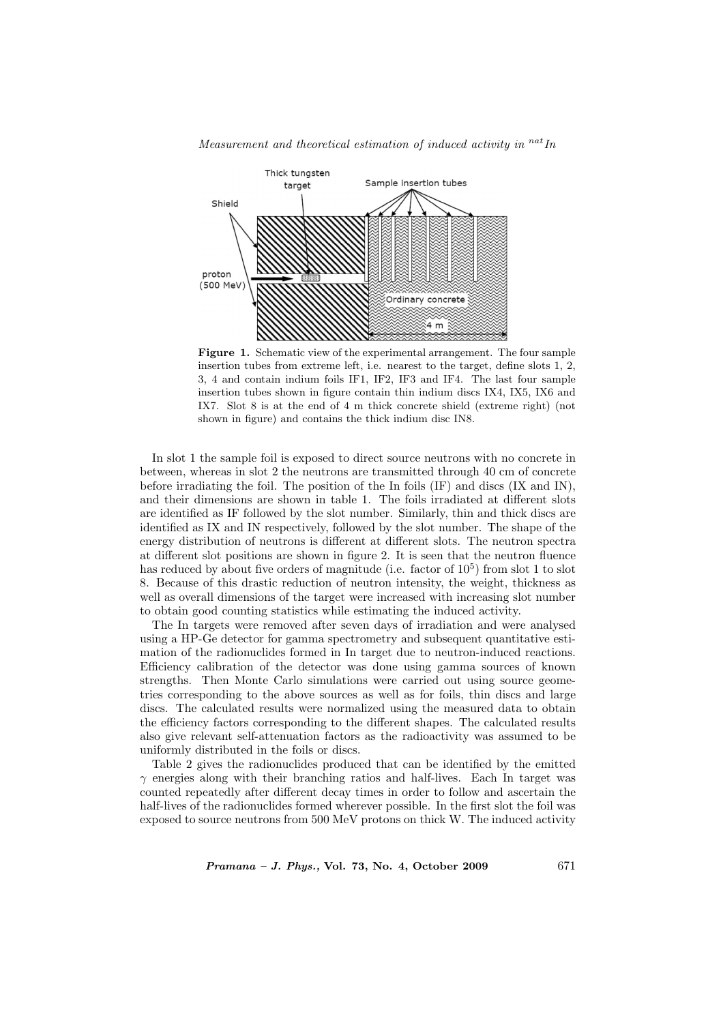

Measurement and theoretical estimation of induced activity in  $^{nat}$ In

Figure 1. Schematic view of the experimental arrangement. The four sample insertion tubes from extreme left, i.e. nearest to the target, define slots 1, 2, 3, 4 and contain indium foils IF1, IF2, IF3 and IF4. The last four sample insertion tubes shown in figure contain thin indium discs IX4, IX5, IX6 and IX7. Slot 8 is at the end of 4 m thick concrete shield (extreme right) (not shown in figure) and contains the thick indium disc IN8.

In slot 1 the sample foil is exposed to direct source neutrons with no concrete in between, whereas in slot 2 the neutrons are transmitted through 40 cm of concrete before irradiating the foil. The position of the In foils (IF) and discs (IX and IN), and their dimensions are shown in table 1. The foils irradiated at different slots are identified as IF followed by the slot number. Similarly, thin and thick discs are identified as IX and IN respectively, followed by the slot number. The shape of the energy distribution of neutrons is different at different slots. The neutron spectra at different slot positions are shown in figure 2. It is seen that the neutron fluence has reduced by about five orders of magnitude (i.e. factor of  $10^5$ ) from slot 1 to slot 8. Because of this drastic reduction of neutron intensity, the weight, thickness as well as overall dimensions of the target were increased with increasing slot number to obtain good counting statistics while estimating the induced activity.

The In targets were removed after seven days of irradiation and were analysed using a HP-Ge detector for gamma spectrometry and subsequent quantitative estimation of the radionuclides formed in In target due to neutron-induced reactions. Efficiency calibration of the detector was done using gamma sources of known strengths. Then Monte Carlo simulations were carried out using source geometries corresponding to the above sources as well as for foils, thin discs and large discs. The calculated results were normalized using the measured data to obtain the efficiency factors corresponding to the different shapes. The calculated results also give relevant self-attenuation factors as the radioactivity was assumed to be uniformly distributed in the foils or discs.

Table 2 gives the radionuclides produced that can be identified by the emitted  $\gamma$  energies along with their branching ratios and half-lives. Each In target was counted repeatedly after different decay times in order to follow and ascertain the half-lives of the radionuclides formed wherever possible. In the first slot the foil was exposed to source neutrons from 500 MeV protons on thick W. The induced activity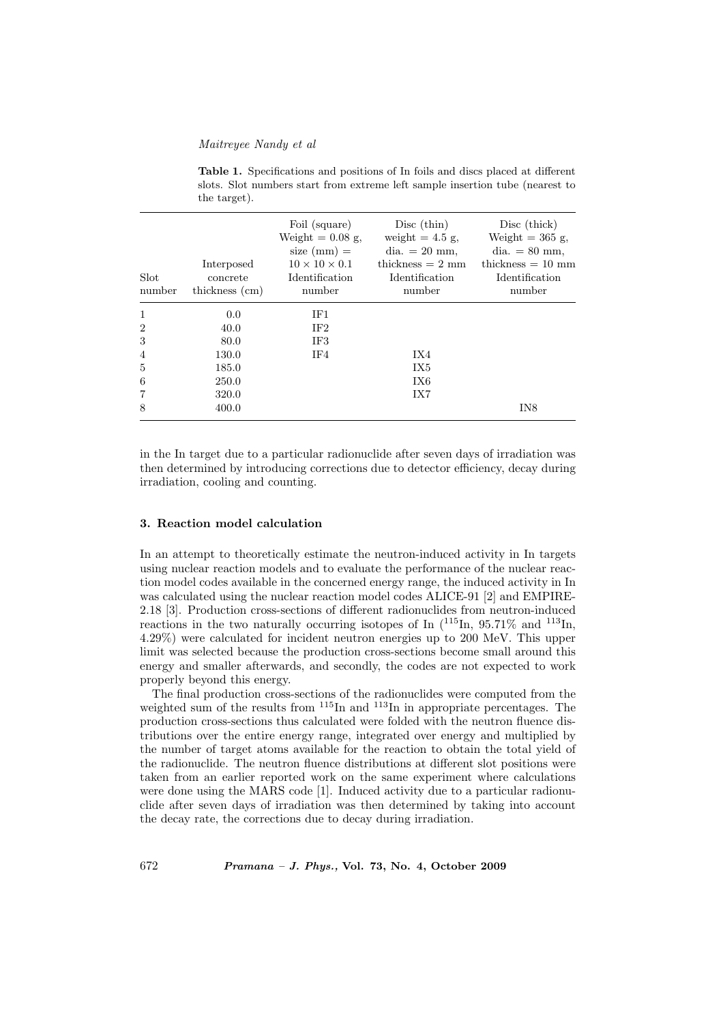| Slot<br>number | Interposed<br>concrete<br>thickness (cm) | Foil (square)<br>Weight $= 0.08$ g,<br>size $(mm) =$<br>$10 \times 10 \times 0.1$<br>Identification<br>number | Disc (thin)<br>weight $= 4.5$ g,<br>dia. $= 20$ mm,<br>thickness $= 2$ mm<br>Identification<br>number | Disc (thick)<br>Weight $=$ 365 g,<br>dia. $= 80$ mm,<br>thickness $= 10$ mm<br>Identification<br>number |
|----------------|------------------------------------------|---------------------------------------------------------------------------------------------------------------|-------------------------------------------------------------------------------------------------------|---------------------------------------------------------------------------------------------------------|
| $\mathbf{1}$   | 0.0                                      | IF1                                                                                                           |                                                                                                       |                                                                                                         |
| $\overline{2}$ | 40.0                                     | IF2                                                                                                           |                                                                                                       |                                                                                                         |
| 3              | 80.0                                     | IF3                                                                                                           |                                                                                                       |                                                                                                         |
| $\overline{4}$ | 130.0                                    | IF4                                                                                                           | IX4                                                                                                   |                                                                                                         |
| 5              | 185.0                                    |                                                                                                               | IX5                                                                                                   |                                                                                                         |
| 6              | 250.0                                    |                                                                                                               | IX6                                                                                                   |                                                                                                         |
| 7              | 320.0                                    |                                                                                                               | IX7                                                                                                   |                                                                                                         |
| 8              | 400.0                                    |                                                                                                               |                                                                                                       | IN8                                                                                                     |

Table 1. Specifications and positions of In foils and discs placed at different slots. Slot numbers start from extreme left sample insertion tube (nearest to the target).

in the In target due to a particular radionuclide after seven days of irradiation was then determined by introducing corrections due to detector efficiency, decay during irradiation, cooling and counting.

# 3. Reaction model calculation

In an attempt to theoretically estimate the neutron-induced activity in In targets using nuclear reaction models and to evaluate the performance of the nuclear reaction model codes available in the concerned energy range, the induced activity in In was calculated using the nuclear reaction model codes ALICE-91 [2] and EMPIRE-2.18 [3]. Production cross-sections of different radionuclides from neutron-induced reactions in the two naturally occurring isotopes of In  $\binom{115}{10}$ , 95.71% and  $\frac{113}{10}$ , 4.29%) were calculated for incident neutron energies up to 200 MeV. This upper limit was selected because the production cross-sections become small around this energy and smaller afterwards, and secondly, the codes are not expected to work properly beyond this energy.

The final production cross-sections of the radionuclides were computed from the weighted sum of the results from  $^{115}$ In and  $^{113}$ In in appropriate percentages. The production cross-sections thus calculated were folded with the neutron fluence distributions over the entire energy range, integrated over energy and multiplied by the number of target atoms available for the reaction to obtain the total yield of the radionuclide. The neutron fluence distributions at different slot positions were taken from an earlier reported work on the same experiment where calculations were done using the MARS code [1]. Induced activity due to a particular radionuclide after seven days of irradiation was then determined by taking into account the decay rate, the corrections due to decay during irradiation.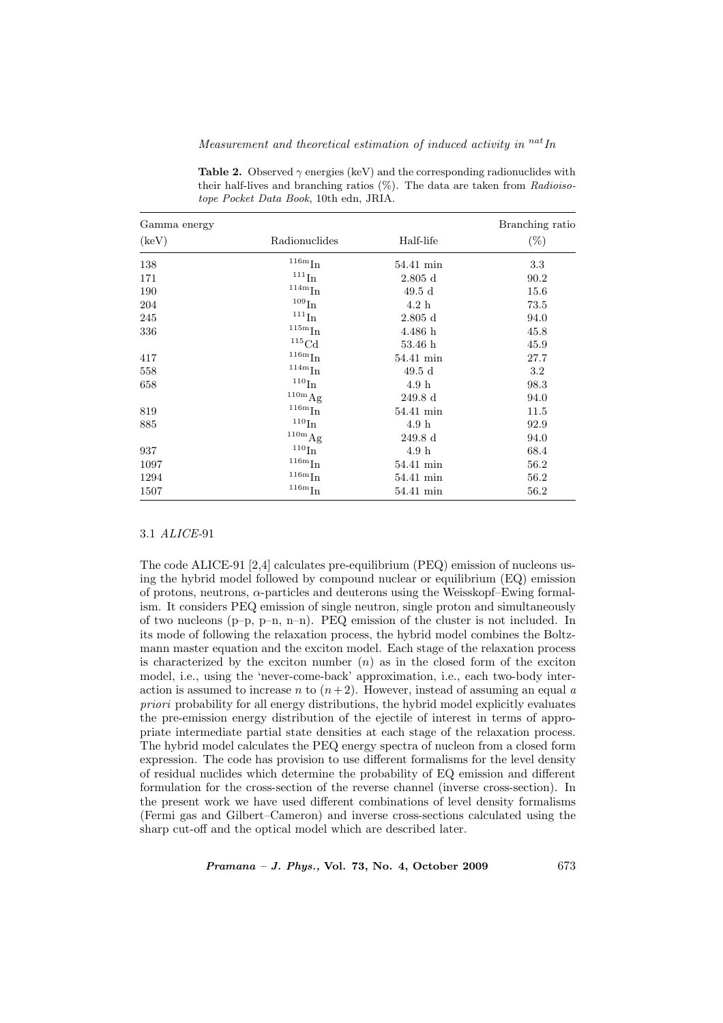| Gamma energy   |                               |                     | Branching ratio |
|----------------|-------------------------------|---------------------|-----------------|
| $(\text{keV})$ | Radionuclides                 | Half-life           | $(\%)$          |
| 138            | $^{116\rm m}\mathrm{In}$      | 54.41 min           | 3.3             |
| 171            | $^{111}\mathrm{In}$           | $2.805$ d           | 90.2            |
| 190            | $\mathrm{^{114m}In}$          | 49.5d               | 15.6            |
| 204            | $^{109}\mathrm{In}$           | 4.2 h               | 73.5            |
| 245            | $^{111}\mathrm{In}$           | $2.805$ d           | 94.0            |
| 336            | $\mathrm{^{115m}In}$          | 4.486h              | 45.8            |
|                | $\rm ^{115}Cd$                | 53.46h              | 45.9            |
| 417            | $\rm ^{116m}In$               | 54.41 min           | 27.7            |
| 558            | $\rm ^{114m}In$               | 49.5d               | 3.2             |
| 658            | $\rm ^{110}In$                | 4.9 <sub>h</sub>    | 98.3            |
|                | $^{110m}$ Ag                  | $249.8\,\mathrm{d}$ | 94.0            |
| 819            | $^{116\mathrm{m}}\mathrm{In}$ | 54.41 min           | 11.5            |
| 885            | $^{110}\mathrm{In}$           | 4.9h                | 92.9            |
|                | $^{110\mathrm{m}}\mathrm{Ag}$ | $249.8\,\mathrm{d}$ | 94.0            |
| 937            | $^{110}\mathrm{In}$           | 4.9 <sub>h</sub>    | 68.4            |
| 1097           | $^{116\mathrm{m}}\mathrm{In}$ | 54.41 min           | 56.2            |
| 1294           | $^{116\mathrm{m}}\mathrm{In}$ | 54.41 min           | 56.2            |
| 1507           | $^{116\rm m}\mathrm{In}$      | 54.41 min           | 56.2            |

Measurement and theoretical estimation of induced activity in  $^{nat}$ In

Table 2. Observed  $\gamma$  energies (keV) and the corresponding radionuclides with their half-lives and branching ratios  $(\%)$ . The data are taken from Radioisotope Pocket Data Book, 10th edn, JRIA.

#### 3.1 ALICE-91

The code ALICE-91 [2,4] calculates pre-equilibrium (PEQ) emission of nucleons using the hybrid model followed by compound nuclear or equilibrium (EQ) emission of protons, neutrons,  $\alpha$ -particles and deuterons using the Weisskopf–Ewing formalism. It considers PEQ emission of single neutron, single proton and simultaneously of two nucleons  $(p-p, p-n, n-n)$ . PEQ emission of the cluster is not included. In its mode of following the relaxation process, the hybrid model combines the Boltzmann master equation and the exciton model. Each stage of the relaxation process is characterized by the exciton number  $(n)$  as in the closed form of the exciton model, i.e., using the 'never-come-back' approximation, i.e., each two-body interaction is assumed to increase n to  $(n+2)$ . However, instead of assuming an equal a priori probability for all energy distributions, the hybrid model explicitly evaluates the pre-emission energy distribution of the ejectile of interest in terms of appropriate intermediate partial state densities at each stage of the relaxation process. The hybrid model calculates the PEQ energy spectra of nucleon from a closed form expression. The code has provision to use different formalisms for the level density of residual nuclides which determine the probability of EQ emission and different formulation for the cross-section of the reverse channel (inverse cross-section). In the present work we have used different combinations of level density formalisms (Fermi gas and Gilbert–Cameron) and inverse cross-sections calculated using the sharp cut-off and the optical model which are described later.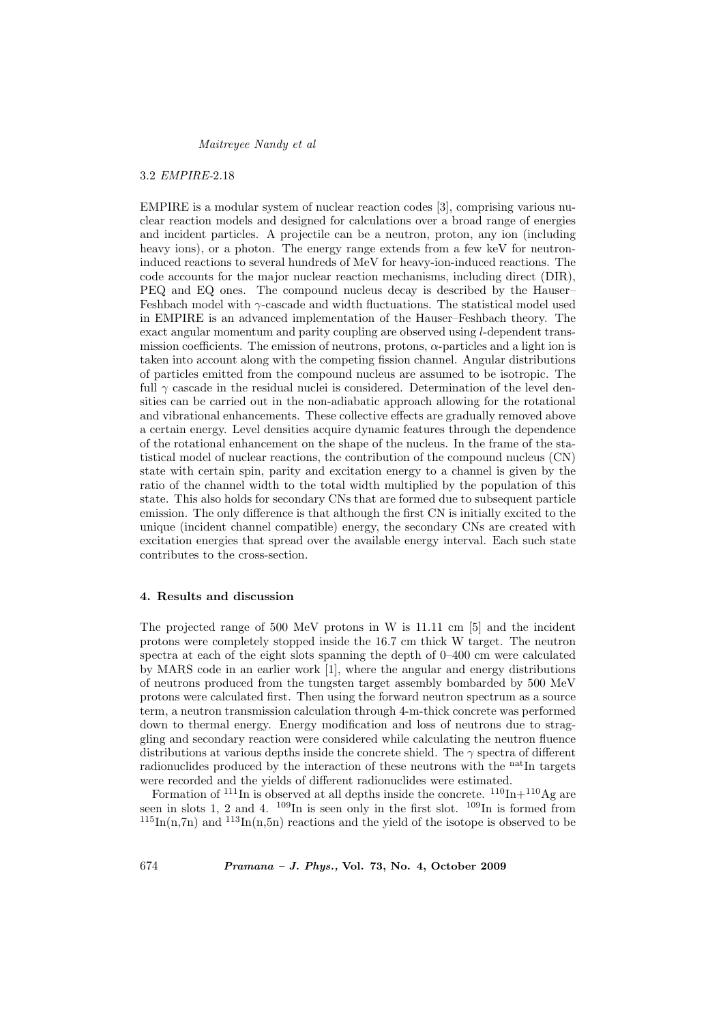#### 3.2 EMPIRE-2.18

EMPIRE is a modular system of nuclear reaction codes [3], comprising various nuclear reaction models and designed for calculations over a broad range of energies and incident particles. A projectile can be a neutron, proton, any ion (including heavy ions), or a photon. The energy range extends from a few keV for neutroninduced reactions to several hundreds of MeV for heavy-ion-induced reactions. The code accounts for the major nuclear reaction mechanisms, including direct (DIR), PEQ and EQ ones. The compound nucleus decay is described by the Hauser– Feshbach model with γ-cascade and width fluctuations. The statistical model used in EMPIRE is an advanced implementation of the Hauser–Feshbach theory. The exact angular momentum and parity coupling are observed using l-dependent transmission coefficients. The emission of neutrons, protons,  $\alpha$ -particles and a light ion is taken into account along with the competing fission channel. Angular distributions of particles emitted from the compound nucleus are assumed to be isotropic. The full  $\gamma$  cascade in the residual nuclei is considered. Determination of the level densities can be carried out in the non-adiabatic approach allowing for the rotational and vibrational enhancements. These collective effects are gradually removed above a certain energy. Level densities acquire dynamic features through the dependence of the rotational enhancement on the shape of the nucleus. In the frame of the statistical model of nuclear reactions, the contribution of the compound nucleus (CN) state with certain spin, parity and excitation energy to a channel is given by the ratio of the channel width to the total width multiplied by the population of this state. This also holds for secondary CNs that are formed due to subsequent particle emission. The only difference is that although the first CN is initially excited to the unique (incident channel compatible) energy, the secondary CNs are created with excitation energies that spread over the available energy interval. Each such state contributes to the cross-section.

# 4. Results and discussion

The projected range of 500 MeV protons in W is 11.11 cm [5] and the incident protons were completely stopped inside the 16.7 cm thick W target. The neutron spectra at each of the eight slots spanning the depth of 0–400 cm were calculated by MARS code in an earlier work [1], where the angular and energy distributions of neutrons produced from the tungsten target assembly bombarded by 500 MeV protons were calculated first. Then using the forward neutron spectrum as a source term, a neutron transmission calculation through 4-m-thick concrete was performed down to thermal energy. Energy modification and loss of neutrons due to straggling and secondary reaction were considered while calculating the neutron fluence distributions at various depths inside the concrete shield. The  $\gamma$  spectra of different radionuclides produced by the interaction of these neutrons with the <sup>nat</sup>In targets were recorded and the yields of different radionuclides were estimated.

Formation of  $^{111}$ In is observed at all depths inside the concrete.  $^{110}$ In+ $^{110}$ Ag are seen in slots 1, 2 and 4.  $^{109}$ In is seen only in the first slot.  $^{109}$ In is formed from  $^{115}$ In(n,7n) and  $^{113}$ In(n,5n) reactions and the yield of the isotope is observed to be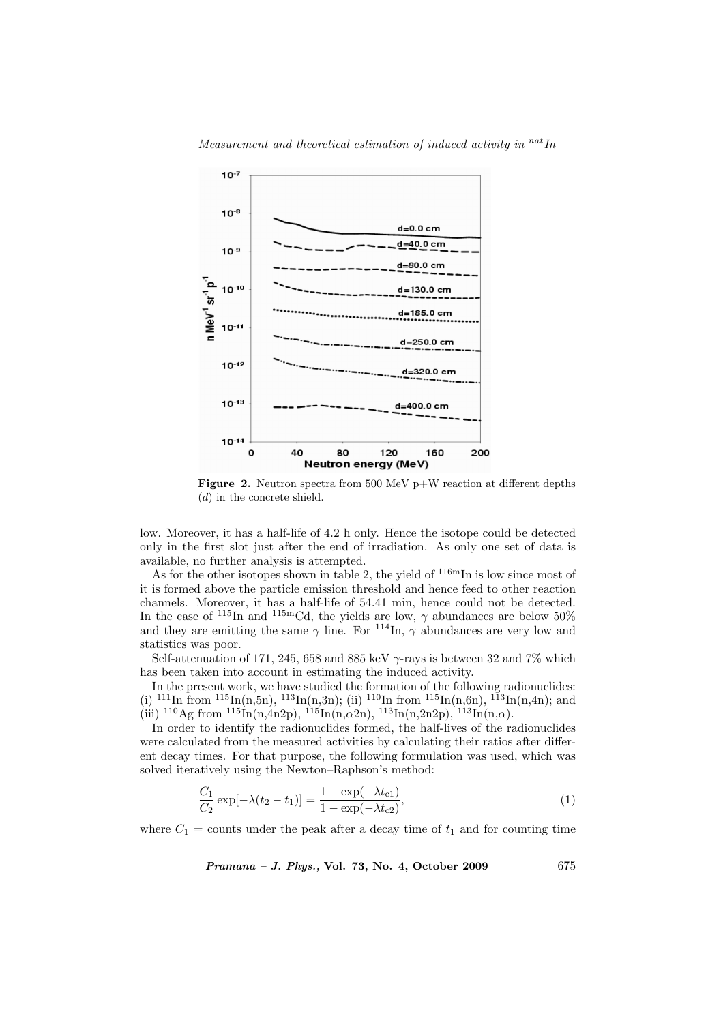



**Figure 2.** Neutron spectra from 500 MeV  $p+W$  reaction at different depths (d) in the concrete shield.

low. Moreover, it has a half-life of 4.2 h only. Hence the isotope could be detected only in the first slot just after the end of irradiation. As only one set of data is available, no further analysis is attempted.

As for the other isotopes shown in table 2, the yield of  $116mIn$  is low since most of it is formed above the particle emission threshold and hence feed to other reaction channels. Moreover, it has a half-life of 54.41 min, hence could not be detected. In the case of  $^{115}$ In and  $^{115}$ mCd, the yields are low,  $\gamma$  abundances are below 50% and they are emitting the same  $\gamma$  line. For  $^{114}$ In,  $\gamma$  abundances are very low and statistics was poor.

Self-attenuation of 171, 245, 658 and 885 keV  $\gamma$ -rays is between 32 and 7% which has been taken into account in estimating the induced activity.

In the present work, we have studied the formation of the following radionuclides: (i)  $^{111}$ In from  $^{115}$ In(n,5n),  $^{113}$ In(n,3n); (ii)  $^{110}$ In from  $^{115}$ In(n,6n),  $^{113}$ In(n,4n); and (iii)  $^{110}$ Ag from  $^{115}$ In(n,4n2p),  $^{115}$ In(n, $\alpha$ 2n),  $^{113}$ In(n,2n2p),  $^{113}$ In(n, $\alpha$ ).

In order to identify the radionuclides formed, the half-lives of the radionuclides were calculated from the measured activities by calculating their ratios after different decay times. For that purpose, the following formulation was used, which was solved iteratively using the Newton–Raphson's method:

$$
\frac{C_1}{C_2} \exp[-\lambda(t_2 - t_1)] = \frac{1 - \exp(-\lambda t_{c1})}{1 - \exp(-\lambda t_{c2})},\tag{1}
$$

where  $C_1$  = counts under the peak after a decay time of  $t_1$  and for counting time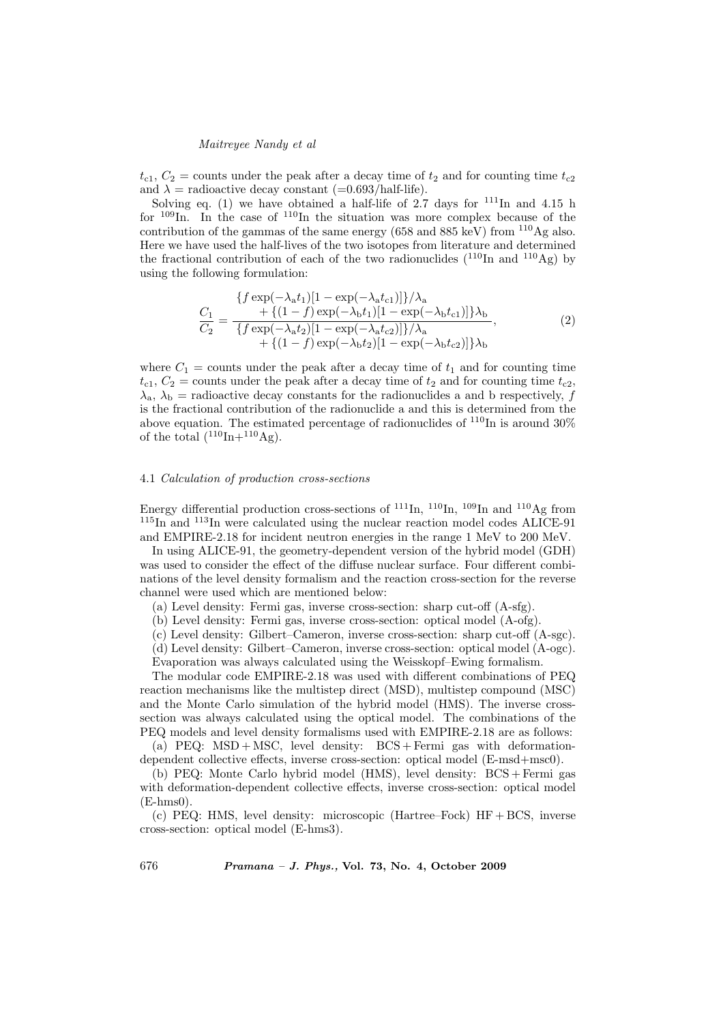$t_{c1}$ ,  $C_2$  = counts under the peak after a decay time of  $t_2$  and for counting time  $t_{c2}$ and  $\lambda$  = radioactive decay constant (=0.693/half-life).

Solving eq. (1) we have obtained a half-life of  $2.7$  days for  $111$ In and 4.15 h for  $109$ In. In the case of  $110$ In the situation was more complex because of the contribution of the gammas of the same energy (658 and 885 keV) from  $110\text{Ag}$  also. Here we have used the half-lives of the two isotopes from literature and determined the fractional contribution of each of the two radionuclides  $(^{110}In$  and  $^{110}Ag$ ) by using the following formulation:

$$
\frac{C_1}{C_2} = \frac{\{f \exp(-\lambda_a t_1)[1 - \exp(-\lambda_a t_{c1})]\}\lambda_a}{\{f \exp(-\lambda_a t_2)[1 - \exp(-\lambda_a t_{c2})]\}\lambda_b} + \frac{\{ (1 - f) \exp(-\lambda_b t_1)[1 - \exp(-\lambda_b t_{c1})]\}\lambda_b}{\{f \exp(-\lambda_a t_2)[1 - \exp(-\lambda_b t_{c2})]\}\lambda_b},
$$
\n(2)

where  $C_1$  = counts under the peak after a decay time of  $t_1$  and for counting time  $t_{c1}$ ,  $C_2$  = counts under the peak after a decay time of  $t_2$  and for counting time  $t_{c2}$ ,  $\lambda_{\rm a}, \lambda_{\rm b}$  = radioactive decay constants for the radionuclides a and b respectively, f is the fractional contribution of the radionuclide a and this is determined from the above equation. The estimated percentage of radionuclides of  $^{110}$ In is around  $30\%$ of the total  $(^{110}\text{In}+^{110}\text{Ag})$ .

## 4.1 Calculation of production cross-sections

Energy differential production cross-sections of  $^{111}$ In,  $^{110}$ In,  $^{109}$ In and  $^{110}$ Ag from <sup>115</sup>In and <sup>113</sup>In were calculated using the nuclear reaction model codes ALICE-91 and EMPIRE-2.18 for incident neutron energies in the range 1 MeV to 200 MeV.

In using ALICE-91, the geometry-dependent version of the hybrid model (GDH) was used to consider the effect of the diffuse nuclear surface. Four different combinations of the level density formalism and the reaction cross-section for the reverse channel were used which are mentioned below:

(a) Level density: Fermi gas, inverse cross-section: sharp cut-off (A-sfg).

(b) Level density: Fermi gas, inverse cross-section: optical model (A-ofg).

(c) Level density: Gilbert–Cameron, inverse cross-section: sharp cut-off (A-sgc).

(d) Level density: Gilbert–Cameron, inverse cross-section: optical model (A-ogc). Evaporation was always calculated using the Weisskopf–Ewing formalism.

The modular code EMPIRE-2.18 was used with different combinations of PEQ reaction mechanisms like the multistep direct (MSD), multistep compound (MSC) and the Monte Carlo simulation of the hybrid model (HMS). The inverse crosssection was always calculated using the optical model. The combinations of the PEQ models and level density formalisms used with EMPIRE-2.18 are as follows:

(a) PEQ: MSD + MSC, level density:  $BCS + Fermi$  gas with deformationdependent collective effects, inverse cross-section: optical model (E-msd+msc0).

(b) PEQ: Monte Carlo hybrid model (HMS), level density: BCS + Fermi gas with deformation-dependent collective effects, inverse cross-section: optical model  $(E-hms0)$ .

(c) PEQ: HMS, level density: microscopic (Hartree–Fock) HF + BCS, inverse cross-section: optical model (E-hms3).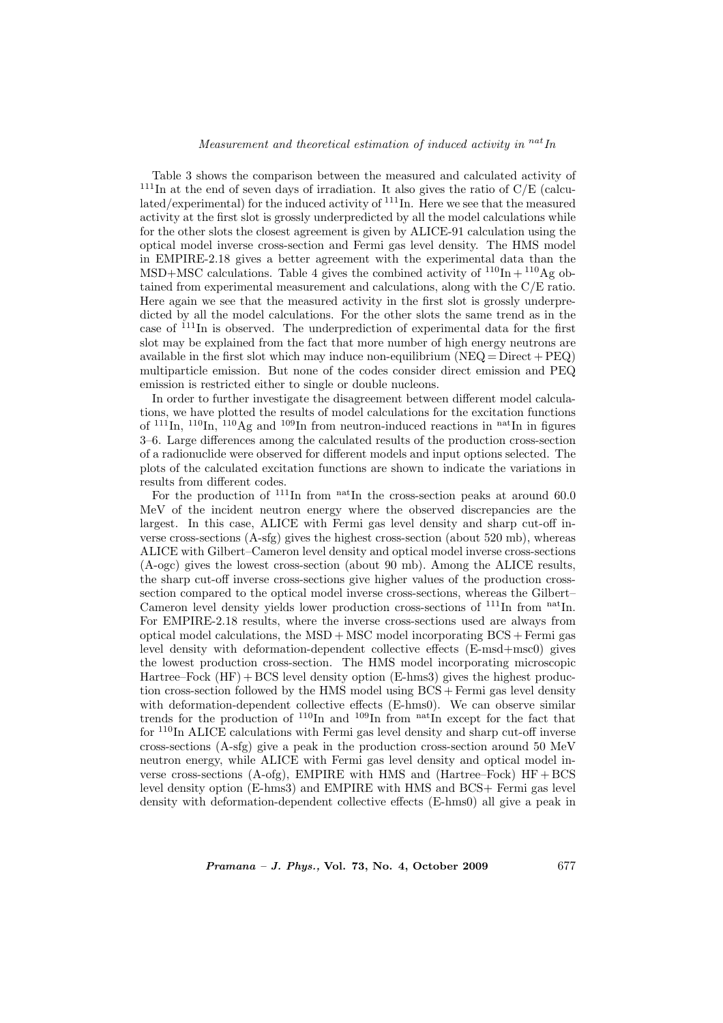# Measurement and theoretical estimation of induced activity in  $^{nat}$ In

Table 3 shows the comparison between the measured and calculated activity of  $111$ In at the end of seven days of irradiation. It also gives the ratio of  $C/E$  (calculated/experimental) for the induced activity of  $^{111}$ In. Here we see that the measured activity at the first slot is grossly underpredicted by all the model calculations while for the other slots the closest agreement is given by ALICE-91 calculation using the optical model inverse cross-section and Fermi gas level density. The HMS model in EMPIRE-2.18 gives a better agreement with the experimental data than the MSD+MSC calculations. Table 4 gives the combined activity of  $^{110}$ In +  $^{110}$ Ag obtained from experimental measurement and calculations, along with the C/E ratio. Here again we see that the measured activity in the first slot is grossly underpredicted by all the model calculations. For the other slots the same trend as in the case of <sup>111</sup>In is observed. The underprediction of experimental data for the first slot may be explained from the fact that more number of high energy neutrons are available in the first slot which may induce non-equilibrium ( $NEQ = Direct + PEO$ ) multiparticle emission. But none of the codes consider direct emission and PEQ emission is restricted either to single or double nucleons.

In order to further investigate the disagreement between different model calculations, we have plotted the results of model calculations for the excitation functions of  $^{111}$ In,  $^{110}$ In,  $^{110}$ Ag and  $^{109}$ In from neutron-induced reactions in <sup>nat</sup>In in figures 3–6. Large differences among the calculated results of the production cross-section of a radionuclide were observed for different models and input options selected. The plots of the calculated excitation functions are shown to indicate the variations in results from different codes.

For the production of  $^{111}$ In from  $^{nat}$ In the cross-section peaks at around 60.0 MeV of the incident neutron energy where the observed discrepancies are the largest. In this case, ALICE with Fermi gas level density and sharp cut-off inverse cross-sections (A-sfg) gives the highest cross-section (about 520 mb), whereas ALICE with Gilbert–Cameron level density and optical model inverse cross-sections (A-ogc) gives the lowest cross-section (about 90 mb). Among the ALICE results, the sharp cut-off inverse cross-sections give higher values of the production crosssection compared to the optical model inverse cross-sections, whereas the Gilbert– Cameron level density yields lower production cross-sections of  $111$ In from natIn. For EMPIRE-2.18 results, where the inverse cross-sections used are always from optical model calculations, the MSD + MSC model incorporating BCS + Fermi gas level density with deformation-dependent collective effects (E-msd+msc0) gives the lowest production cross-section. The HMS model incorporating microscopic Hartree–Fock  $(HF)$  + BCS level density option  $(E\text{-}hms3)$  gives the highest production cross-section followed by the HMS model using BCS + Fermi gas level density with deformation-dependent collective effects (E-hms0). We can observe similar trends for the production of  $^{110}$ In and  $^{109}$ In from natIn except for the fact that for  $110$ In ALICE calculations with Fermi gas level density and sharp cut-off inverse cross-sections (A-sfg) give a peak in the production cross-section around 50 MeV neutron energy, while ALICE with Fermi gas level density and optical model inverse cross-sections  $(A-ofg)$ , EMPIRE with HMS and  $(Hartree-Fock)$  HF + BCS level density option (E-hms3) and EMPIRE with HMS and BCS+ Fermi gas level density with deformation-dependent collective effects (E-hms0) all give a peak in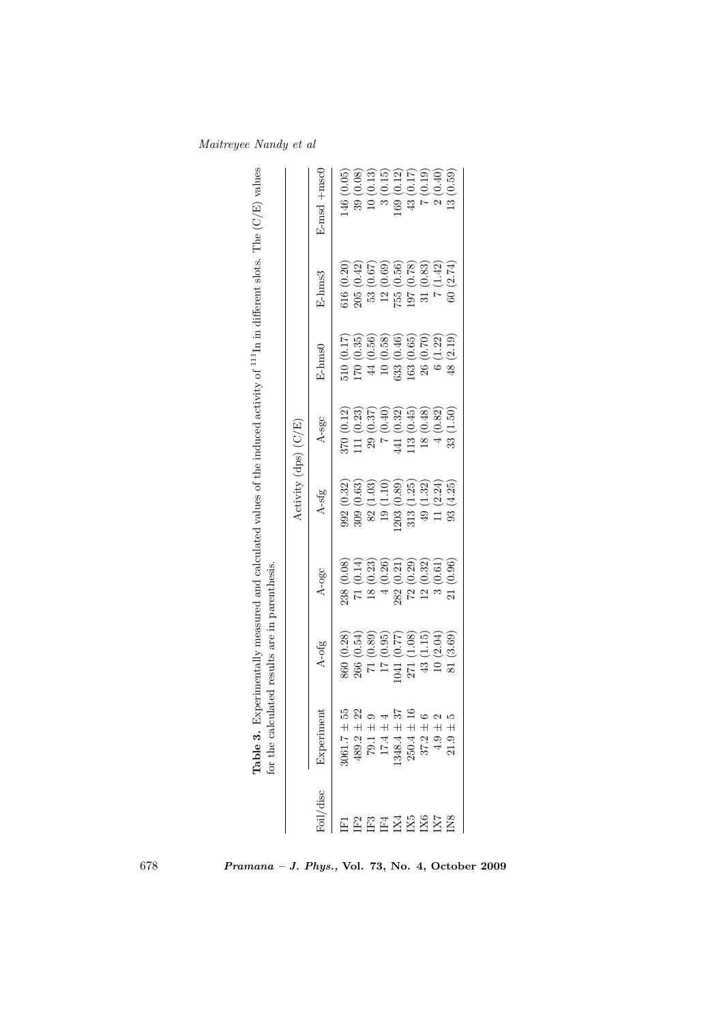|                 |                 |                 |            | Activity $(dps)$ $(C/E)$  |            |              |                                                           |                                                               |
|-----------------|-----------------|-----------------|------------|---------------------------|------------|--------------|-----------------------------------------------------------|---------------------------------------------------------------|
| oil/disc        | Experiment      | A-ofg           | A-ogc      | A-sfg                     | A-sgc      | E-hms0       | E-hms3                                                    | $E$ -msd $+$ msc $C$                                          |
|                 | $061.7 \pm 55$  | 860 (0.28)      | 238 (0.08) | 992(0.32)                 | 370(0.12)  | 510(0.17)    | 616(0.20)                                                 | (0.05)<br>146 <sup>1</sup>                                    |
| $_{\rm E}$      | $489.2 \pm 22$  | 266(0.54)       | 71(0.14)   | (0.63)<br>309(            | 111(0.23)  | 170(0.35)    | (0.42)<br>205(                                            | (0.08)<br>39                                                  |
| IF3             | $79.1 \pm 9$    | 71(0.89)        | 18(0.23)   | (1.03)<br>82 <sub>1</sub> | 29(0.37)   | $44~(0.56)$  | 53 (0.67)                                                 | $\overline{10}$                                               |
| IF4             | $17.4 \pm 4$    | 17(0.95)        | 4(0.26)    | 19(1.10)                  | (0.40)     | $10\ (0.58)$ | (0.69)<br>12(                                             | $\infty$                                                      |
| IX4             | $1348.4 \pm 37$ | 041 (0.77)      | 282 (0.21) | 203 (0.89)                | 441 (0.32) | 633 (0.46)   |                                                           | $\begin{pmatrix} 0.13 \\ 0.15 \end{pmatrix}$<br>(0.12)<br>169 |
| IX5             | $250.4 \pm 16$  | (1.08)<br>271 ( | 72(0.29)   | (1.25)<br>313(            | 113(0.45)  | 163(0.65)    | $\begin{array}{c} 755\ (0.56) \\ 197\ (0.78) \end{array}$ | 43 (0.17)                                                     |
| IX6             | $37.2 \pm 6$    | 43 (1.15)       | 12(0.32)   | 49(1.32)                  | 18(0.48)   | 26 (0.70)    | 31(0.83)                                                  | (0.19)                                                        |
| IX <sub>7</sub> | $4.9 \pm 2$     | 10(2.04)        | 3(0.61)    | 11(2.24)                  | 4(0.82)    | 6(1.22)      | 7(1.42)                                                   | (0.40)                                                        |
| IN <sub>8</sub> | ທ<br>$21.9 \pm$ | 81(3.69)        | 21(0.96)   | (4.25)<br>$\frac{8}{3}$   | 33(1.50)   | 48 (2.19)    | 60(2.74)                                                  | (0.59)<br>$\frac{3}{2}$                                       |

Maitreyee Nandy et al

678 Pramana – J. Phys., Vol. 73, No. 4, October 2009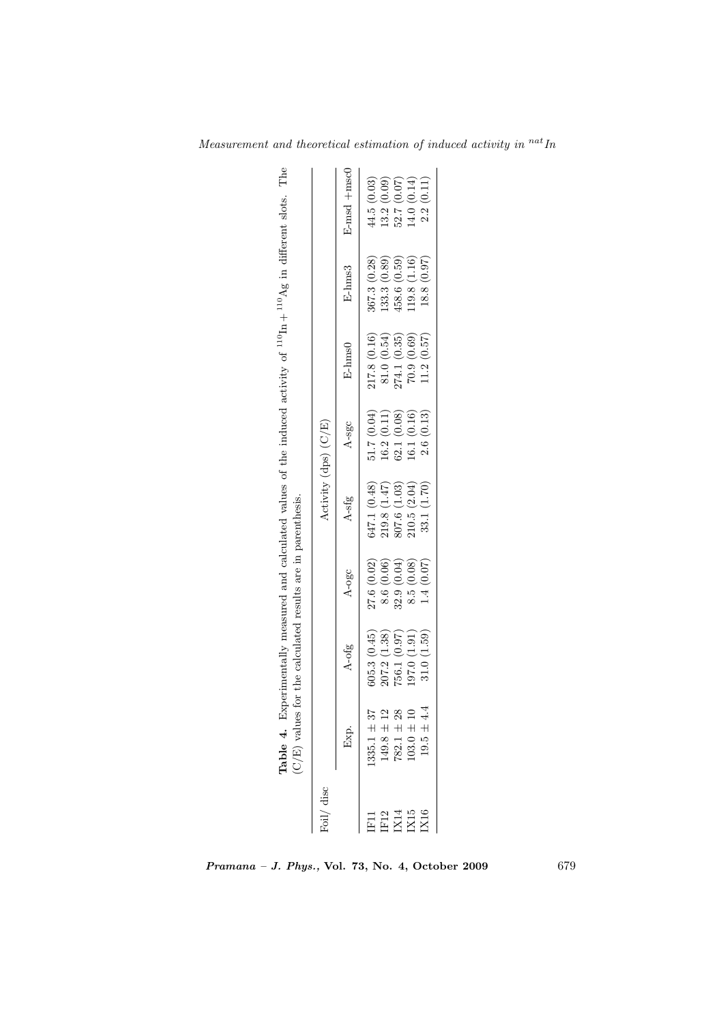| Foil/ disc                  |                | Table 4. Experimentally measured and calculated values of the induced activity of $^{110}$ In + $^{110}$ Ag in different slots. The<br>$(C/E)$ values for the calculated results are in parenthesis. |            |              | Activity (dps) (C/E) |                                                                              |               |             |
|-----------------------------|----------------|------------------------------------------------------------------------------------------------------------------------------------------------------------------------------------------------------|------------|--------------|----------------------|------------------------------------------------------------------------------|---------------|-------------|
|                             | Exp.           | A-ofg                                                                                                                                                                                                | A-ogc      | A-sfg        | A-sgc                | $E$ -h $ms0$                                                                 | E-hms3        | E-msd +msc0 |
|                             | $335.1 + 37$   | 605.3(0.45)                                                                                                                                                                                          | 27.6(0.02) | 647.1 (0.48) | 51.7(0.04)           | 217.8 (0.16)                                                                 | 367.3(0.28)   | 44.5(0.03)  |
|                             | $149.8 \pm 12$ | 207.2(1.38)                                                                                                                                                                                          | 8.6 (0.06) | 219.8(1.47)  | 16.2(0.11)           |                                                                              | [33.3 (0.89)] | 13.2(0.09)  |
| E12<br>E214<br>EXIS<br>EXIS | $782.1 \pm 28$ | 756.1 (0.97)                                                                                                                                                                                         | 32.9(0.04) | 807.6 (1.03) | 62.1(0.08)           |                                                                              | 458.6 (0.59)  | 52.7(0.07)  |
|                             | $103.0 \pm 10$ | 197.0 (1.91)                                                                                                                                                                                         | 8.5(0.08)  | 210.5(2.04)  | (6.1(0.16))          | $\begin{array}{c} 81.0\ (0.54) \\ 274.1\ (0.35) \\ 70.9\ (0.69) \end{array}$ | .19.8(1.16)   | 14.0(0.14)  |
|                             | $19.5 \pm 4.4$ | 31.0(1.59)                                                                                                                                                                                           | 1.4(0.07)  | 33.1 (1.70)  | 2.6(0.13)            | 11.2(0.57)                                                                   | 18.8 (0.97)   | 2.2(0.11)   |
|                             |                |                                                                                                                                                                                                      |            |              |                      |                                                                              |               |             |

Measurement and theoretical estimation of induced activity in  $\real^{nat}In$ 

Pramana – J. Phys., Vol. 73, No. 4, October 2009 679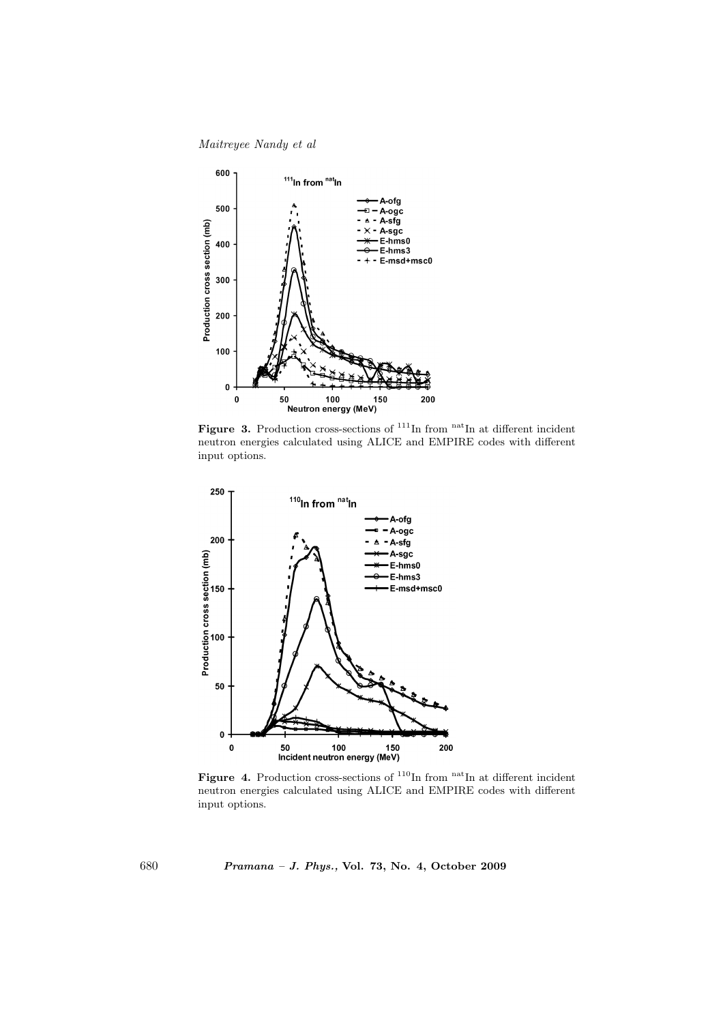Maitreyee Nandy et al



Figure 3. Production cross-sections of  $111$ In from natIn at different incident neutron energies calculated using ALICE and EMPIRE codes with different input options.



Figure 4. Production cross-sections of  $110$ In from natIn at different incident neutron energies calculated using ALICE and EMPIRE codes with different input options.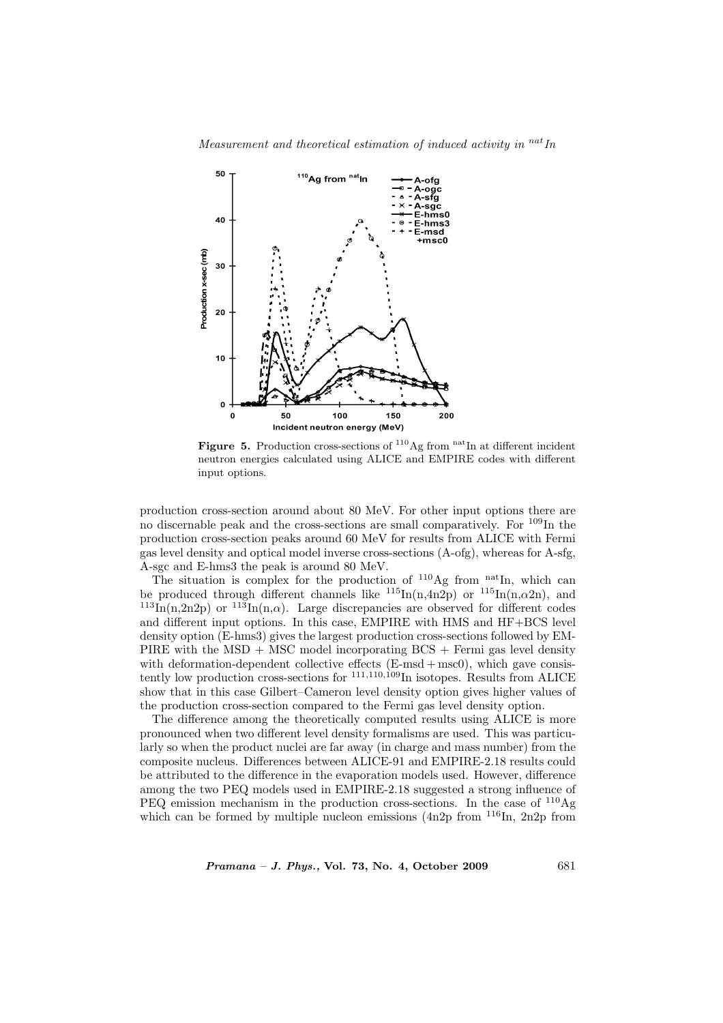

Measurement and theoretical estimation of induced activity in  $^{nat}$ In

Figure 5. Production cross-sections of  $110$  Ag from natIn at different incident neutron energies calculated using ALICE and EMPIRE codes with different input options.

production cross-section around about 80 MeV. For other input options there are no discernable peak and the cross-sections are small comparatively. For  $109\text{In the}$ production cross-section peaks around 60 MeV for results from ALICE with Fermi gas level density and optical model inverse cross-sections (A-ofg), whereas for A-sfg, A-sgc and E-hms3 the peak is around 80 MeV.

The situation is complex for the production of  $110\text{Ag}$  from  $\text{natIn}$ , which can be produced through different channels like  $^{115}$ In(n,4n2p) or  $^{115}$ In(n, $\alpha$ 2n), and  $^{113}$ In(n,2n2p) or  $^{113}$ In(n, $\alpha$ ). Large discrepancies are observed for different codes and different input options. In this case, EMPIRE with HMS and HF+BCS level density option (E-hms3) gives the largest production cross-sections followed by EM-PIRE with the MSD  $+$  MSC model incorporating BCS  $+$  Fermi gas level density with deformation-dependent collective effects  $(E\text{-}msd + msc0)$ , which gave consistently low production cross-sections for  $^{111,110,109}$ In isotopes. Results from ALICE show that in this case Gilbert–Cameron level density option gives higher values of the production cross-section compared to the Fermi gas level density option.

The difference among the theoretically computed results using ALICE is more pronounced when two different level density formalisms are used. This was particularly so when the product nuclei are far away (in charge and mass number) from the composite nucleus. Differences between ALICE-91 and EMPIRE-2.18 results could be attributed to the difference in the evaporation models used. However, difference among the two PEQ models used in EMPIRE-2.18 suggested a strong influence of PEQ emission mechanism in the production cross-sections. In the case of  $^{110}Ag$ which can be formed by multiple nucleon emissions (4n2p from  $116$ In, 2n2p from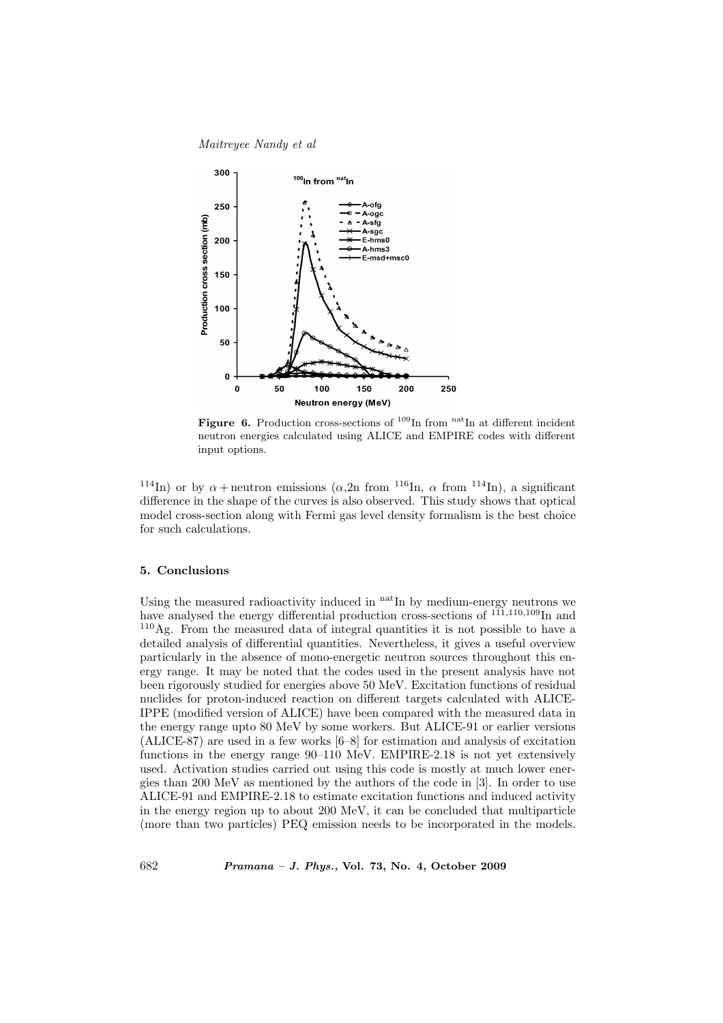

Figure 6. Production cross-sections of  $^{109}$ In from nat<sub>In</sub> at different incident neutron energies calculated using ALICE and EMPIRE codes with different input options.

<sup>114</sup>In) or by  $\alpha$  + neutron emissions ( $\alpha$ , 2n from <sup>116</sup>In,  $\alpha$  from <sup>114</sup>In), a significant difference in the shape of the curves is also observed. This study shows that optical model cross-section along with Fermi gas level density formalism is the best choice for such calculations.

# 5. Conclusions

Using the measured radioactivity induced in  $n_{\text{at}}$  In by medium-energy neutrons we have analysed the energy differential production cross-sections of  $^{111,110,109}$ In and <sup>110</sup>Ag. From the measured data of integral quantities it is not possible to have a detailed analysis of differential quantities. Nevertheless, it gives a useful overview particularly in the absence of mono-energetic neutron sources throughout this energy range. It may be noted that the codes used in the present analysis have not been rigorously studied for energies above 50 MeV. Excitation functions of residual nuclides for proton-induced reaction on different targets calculated with ALICE-IPPE (modified version of ALICE) have been compared with the measured data in the energy range upto 80 MeV by some workers. But ALICE-91 or earlier versions (ALICE-87) are used in a few works [6–8] for estimation and analysis of excitation functions in the energy range 90–110 MeV. EMPIRE-2.18 is not yet extensively used. Activation studies carried out using this code is mostly at much lower energies than 200 MeV as mentioned by the authors of the code in [3]. In order to use ALICE-91 and EMPIRE-2.18 to estimate excitation functions and induced activity in the energy region up to about 200 MeV, it can be concluded that multiparticle (more than two particles) PEQ emission needs to be incorporated in the models.